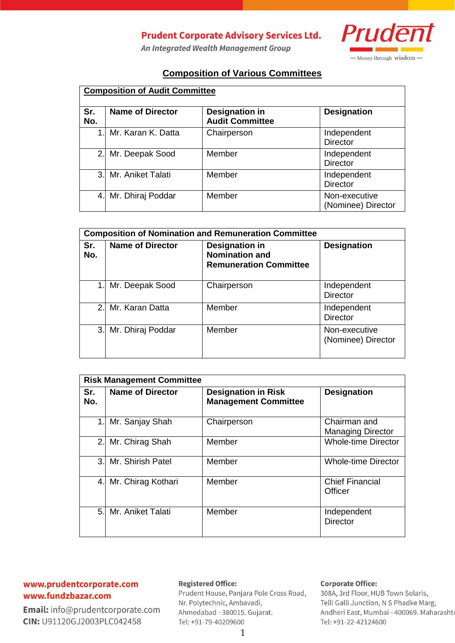# **Prudent Corporate Advisory Services Ltd.**

An Integrated Wealth Management Group



## **Composition of Various Committees**

| <b>Composition of Audit Committee</b> |                         |                                                 |                                     |
|---------------------------------------|-------------------------|-------------------------------------------------|-------------------------------------|
| Sr.<br>No.                            | <b>Name of Director</b> | <b>Designation in</b><br><b>Audit Committee</b> | <b>Designation</b>                  |
|                                       | 1. Mr. Karan K. Datta   | Chairperson                                     | Independent<br><b>Director</b>      |
|                                       | 2. Mr. Deepak Sood      | Member                                          | Independent<br><b>Director</b>      |
|                                       | 3. Mr. Aniket Talati    | Member                                          | Independent<br><b>Director</b>      |
| 4.                                    | Mr. Dhiraj Poddar       | Member                                          | Non-executive<br>(Nominee) Director |

| <b>Composition of Nomination and Remuneration Committee</b> |                         |                                                                                 |                                     |
|-------------------------------------------------------------|-------------------------|---------------------------------------------------------------------------------|-------------------------------------|
| Sr.<br>No.                                                  | <b>Name of Director</b> | <b>Designation in</b><br><b>Nomination and</b><br><b>Remuneration Committee</b> | <b>Designation</b>                  |
|                                                             | Mr. Deepak Sood         | Chairperson                                                                     | Independent<br><b>Director</b>      |
|                                                             | 2. Mr. Karan Datta      | Member                                                                          | Independent<br><b>Director</b>      |
| 3.1                                                         | Mr. Dhiraj Poddar       | Member                                                                          | Non-executive<br>(Nominee) Director |

| <b>Risk Management Committee</b> |                         |                                                           |                                          |
|----------------------------------|-------------------------|-----------------------------------------------------------|------------------------------------------|
| Sr.<br>No.                       | <b>Name of Director</b> | <b>Designation in Risk</b><br><b>Management Committee</b> | <b>Designation</b>                       |
| 1.1                              | Mr. Sanjay Shah         | Chairperson                                               | Chairman and<br><b>Managing Director</b> |
| 2.1                              | Mr. Chirag Shah         | Member                                                    | <b>Whole-time Director</b>               |
|                                  | 3. Mr. Shirish Patel    | Member                                                    | <b>Whole-time Director</b>               |
| 4.                               | Mr. Chirag Kothari      | Member                                                    | <b>Chief Financial</b><br>Officer        |
| 5.1                              | Mr. Aniket Talati       | Member                                                    | Independent<br><b>Director</b>           |

### www.prudentcorporate.com www.fundzbazar.com

Email: info@prudentcorporate.com CIN: U91120GJ2003PLC042458

#### **Registered Office:**

Prudent House, Panjara Pole Cross Road, Nr. Polytechnic, Ambavadi, Ahmedabad - 380015. Gujarat. Tel: +91-79-40209600

#### **Corporate Office:**

308A, 3rd Floor, HUB Town Solaris, Telli Galli Junction, N S Phadke Marg, Andheri East, Mumbai - 400069. Maharashtı Tel: +91-22-42124600